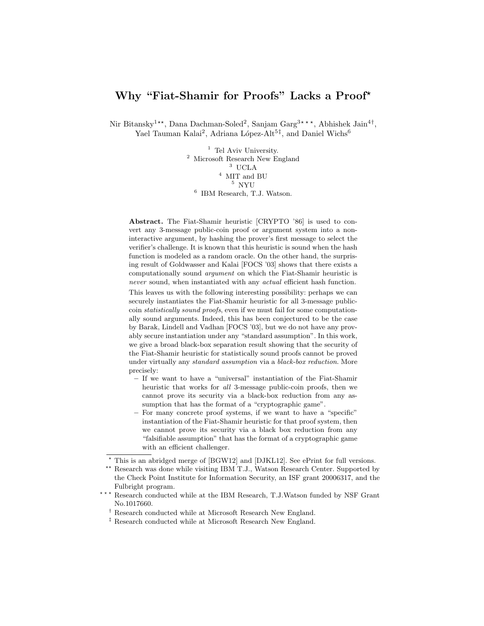# Why "Fiat-Shamir for Proofs" Lacks a Proof\*

Nir Bitansky<sup>1\*\*</sup>, Dana Dachman-Soled<sup>2</sup>, Sanjam Garg<sup>3\*\*\*</sup>, Abhishek Jain<sup>4†</sup>, Yael Tauman Kalai<sup>2</sup>, Adriana López-Alt<sup>5‡</sup>, and Daniel Wichs<sup>6</sup>

> <sup>1</sup> Tel Aviv University. <sup>2</sup> Microsoft Research New England <sup>3</sup> UCLA  $^4\,$  MIT and BU <sup>5</sup> NYU 6 IBM Research, T.J. Watson.

Abstract. The Fiat-Shamir heuristic [CRYPTO '86] is used to convert any 3-message public-coin proof or argument system into a noninteractive argument, by hashing the prover's first message to select the verifier's challenge. It is known that this heuristic is sound when the hash function is modeled as a random oracle. On the other hand, the surprising result of Goldwasser and Kalai [FOCS '03] shows that there exists a computationally sound argument on which the Fiat-Shamir heuristic is never sound, when instantiated with any *actual* efficient hash function.

This leaves us with the following interesting possibility: perhaps we can securely instantiates the Fiat-Shamir heuristic for all 3-message publiccoin statistically sound proofs, even if we must fail for some computationally sound arguments. Indeed, this has been conjectured to be the case by Barak, Lindell and Vadhan [FOCS '03], but we do not have any provably secure instantiation under any "standard assumption". In this work, we give a broad black-box separation result showing that the security of the Fiat-Shamir heuristic for statistically sound proofs cannot be proved under virtually any standard assumption via a black-box reduction. More precisely:

- If we want to have a "universal" instantiation of the Fiat-Shamir heuristic that works for all 3-message public-coin proofs, then we cannot prove its security via a black-box reduction from any assumption that has the format of a "cryptographic game".
- For many concrete proof systems, if we want to have a "specific" instantiation of the Fiat-Shamir heuristic for that proof system, then we cannot prove its security via a black box reduction from any "falsifiable assumption" that has the format of a cryptographic game with an efficient challenger.

‡ Research conducted while at Microsoft Research New England.

<sup>?</sup> This is an abridged merge of [BGW12] and [DJKL12]. See ePrint for full versions.

<sup>\*\*</sup> Research was done while visiting IBM T.J., Watson Research Center. Supported by the Check Point Institute for Information Security, an ISF grant 20006317, and the Fulbright program.

<sup>\*\*\*</sup> Research conducted while at the IBM Research, T.J.Watson funded by NSF Grant No.1017660.

<sup>†</sup> Research conducted while at Microsoft Research New England.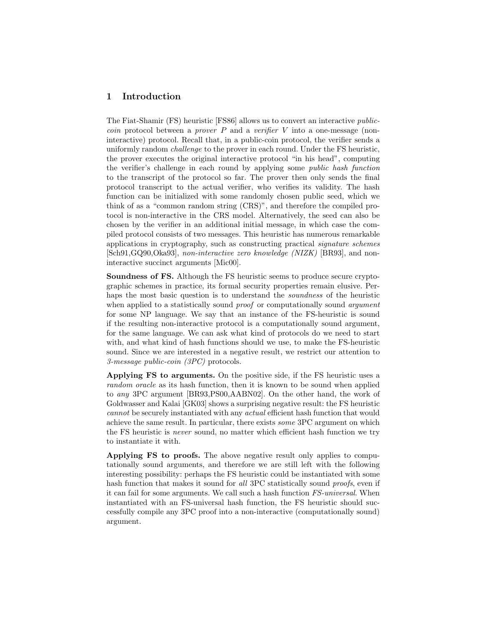# 1 Introduction

The Fiat-Shamir (FS) heuristic [FS86] allows us to convert an interactive public*coin* protocol between a *prover*  $P$  and a *verifier*  $V$  into a one-message (noninteractive) protocol. Recall that, in a public-coin protocol, the verifier sends a uniformly random challenge to the prover in each round. Under the FS heuristic, the prover executes the original interactive protocol "in his head", computing the verifier's challenge in each round by applying some public hash function to the transcript of the protocol so far. The prover then only sends the final protocol transcript to the actual verifier, who verifies its validity. The hash function can be initialized with some randomly chosen public seed, which we think of as a "common random string (CRS)", and therefore the compiled protocol is non-interactive in the CRS model. Alternatively, the seed can also be chosen by the verifier in an additional initial message, in which case the compiled protocol consists of two messages. This heuristic has numerous remarkable applications in cryptography, such as constructing practical signature schemes [Sch91,GQ90,Oka93], non-interactive zero knowledge (NIZK) [BR93], and noninteractive succinct arguments [Mic00].

Soundness of FS. Although the FS heuristic seems to produce secure cryptographic schemes in practice, its formal security properties remain elusive. Perhaps the most basic question is to understand the *soundness* of the heuristic when applied to a statistically sound *proof* or computationally sound *argument* for some NP language. We say that an instance of the FS-heuristic is sound if the resulting non-interactive protocol is a computationally sound argument, for the same language. We can ask what kind of protocols do we need to start with, and what kind of hash functions should we use, to make the FS-heuristic sound. Since we are interested in a negative result, we restrict our attention to 3-message public-coin (3PC) protocols.

Applying FS to arguments. On the positive side, if the FS heuristic uses a random oracle as its hash function, then it is known to be sound when applied to any 3PC argument [BR93,PS00,AABN02]. On the other hand, the work of Goldwasser and Kalai [GK03] shows a surprising negative result: the FS heuristic cannot be securely instantiated with any actual efficient hash function that would achieve the same result. In particular, there exists some 3PC argument on which the FS heuristic is never sound, no matter which efficient hash function we try to instantiate it with.

Applying FS to proofs. The above negative result only applies to computationally sound arguments, and therefore we are still left with the following interesting possibility: perhaps the FS heuristic could be instantiated with some hash function that makes it sound for all 3PC statistically sound proofs, even if it can fail for some arguments. We call such a hash function FS-universal. When instantiated with an FS-universal hash function, the FS heuristic should successfully compile any 3PC proof into a non-interactive (computationally sound) argument.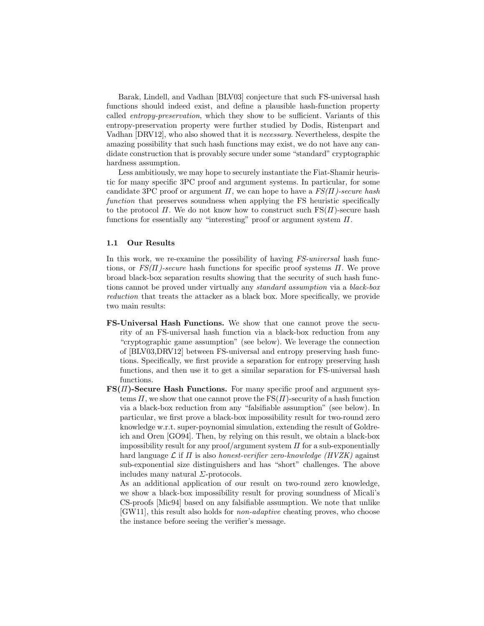Barak, Lindell, and Vadhan [BLV03] conjecture that such FS-universal hash functions should indeed exist, and define a plausible hash-function property called entropy-preservation, which they show to be sufficient. Variants of this entropy-preservation property were further studied by Dodis, Ristenpart and Vadhan [DRV12], who also showed that it is necessary. Nevertheless, despite the amazing possibility that such hash functions may exist, we do not have any candidate construction that is provably secure under some "standard" cryptographic hardness assumption.

Less ambitiously, we may hope to securely instantiate the Fiat-Shamir heuristic for many specific 3PC proof and argument systems. In particular, for some candidate 3PC proof or argument  $\Pi$ , we can hope to have a  $FS(\Pi)$ -secure hash function that preserves soundness when applying the FS heuristic specifically to the protocol  $\Pi$ . We do not know how to construct such  $FS(\Pi)$ -secure hash functions for essentially any "interesting" proof or argument system  $\Pi$ .

#### 1.1 Our Results

In this work, we re-examine the possibility of having FS-universal hash functions, or  $FS(\Pi)$ -secure hash functions for specific proof systems  $\Pi$ . We prove broad black-box separation results showing that the security of such hash functions cannot be proved under virtually any *standard assumption* via a *black-box* reduction that treats the attacker as a black box. More specifically, we provide two main results:

- FS-Universal Hash Functions. We show that one cannot prove the security of an FS-universal hash function via a black-box reduction from any "cryptographic game assumption" (see below). We leverage the connection of [BLV03,DRV12] between FS-universal and entropy preserving hash functions. Specifically, we first provide a separation for entropy preserving hash functions, and then use it to get a similar separation for FS-universal hash functions.
- $FS(\Pi)$ -Secure Hash Functions. For many specific proof and argument systems  $\Pi$ , we show that one cannot prove the FS $(\Pi)$ -security of a hash function via a black-box reduction from any "falsifiable assumption" (see below). In particular, we first prove a black-box impossibility result for two-round zero knowledge w.r.t. super-poynomial simulation, extending the result of Goldreich and Oren [GO94]. Then, by relying on this result, we obtain a black-box impossibility result for any proof/argument system  $\Pi$  for a sub-exponentially hard language  $\mathcal L$  if  $\Pi$  is also honest-verifier zero-knowledge (HVZK) against sub-exponential size distinguishers and has "short" challenges. The above includes many natural  $\Sigma$ -protocols.

As an additional application of our result on two-round zero knowledge, we show a black-box impossibility result for proving soundness of Micali's CS-proofs [Mic94] based on any falsifiable assumption. We note that unlike [GW11], this result also holds for *non-adaptive* cheating proves, who choose the instance before seeing the verifier's message.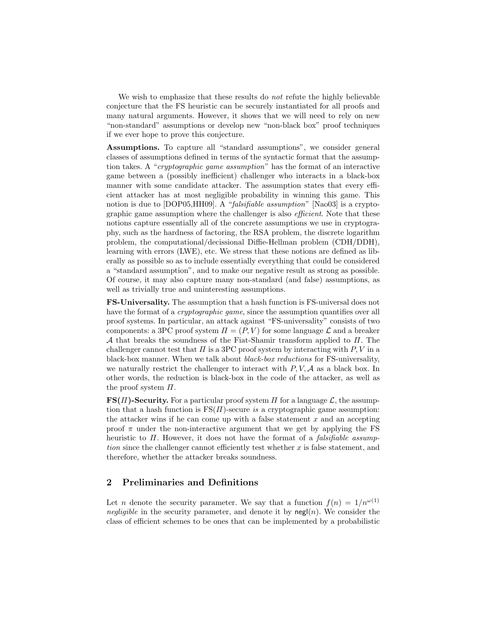We wish to emphasize that these results do *not* refute the highly believable conjecture that the FS heuristic can be securely instantiated for all proofs and many natural arguments. However, it shows that we will need to rely on new "non-standard" assumptions or develop new "non-black box" proof techniques if we ever hope to prove this conjecture.

Assumptions. To capture all "standard assumptions", we consider general classes of assumptions defined in terms of the syntactic format that the assumption takes. A "cryptographic game assumption" has the format of an interactive game between a (possibly inefficient) challenger who interacts in a black-box manner with some candidate attacker. The assumption states that every efficient attacker has at most negligible probability in winning this game. This notion is due to [DOP05,HH09]. A "*falsifiable assumption*" [Nao03] is a cryptographic game assumption where the challenger is also efficient. Note that these notions capture essentially all of the concrete assumptions we use in cryptography, such as the hardness of factoring, the RSA problem, the discrete logarithm problem, the computational/decissional Diffie-Hellman problem (CDH/DDH), learning with errors (LWE), etc. We stress that these notions are defined as liberally as possible so as to include essentially everything that could be considered a "standard assumption", and to make our negative result as strong as possible. Of course, it may also capture many non-standard (and false) assumptions, as well as trivially true and uninteresting assumptions.

FS-Universality. The assumption that a hash function is FS-universal does not have the format of a *cryptographic game*, since the assumption quantifies over all proof systems. In particular, an attack against "FS-universality" consists of two components: a 3PC proof system  $\Pi = (P, V)$  for some language  $\mathcal L$  and a breaker A that breaks the soundness of the Fiat-Shamir transform applied to  $\Pi$ . The challenger cannot test that  $\Pi$  is a 3PC proof system by interacting with P, V in a black-box manner. When we talk about black-box reductions for FS-universality, we naturally restrict the challenger to interact with  $P, V, A$  as a black box. In other words, the reduction is black-box in the code of the attacker, as well as the proof system  $\Pi$ .

**FS(Π)-Security.** For a particular proof system  $\Pi$  for a language  $\mathcal{L}$ , the assumption that a hash function is  $\text{FS}(H)$ -secure is a cryptographic game assumption: the attacker wins if he can come up with a false statement  $x$  and an accepting proof  $\pi$  under the non-interactive argument that we get by applying the FS heuristic to  $\Pi$ . However, it does not have the format of a *falsifiable assump*tion since the challenger cannot efficiently test whether  $x$  is false statement, and therefore, whether the attacker breaks soundness.

# 2 Preliminaries and Definitions

Let *n* denote the security parameter. We say that a function  $f(n) = 1/n^{\omega(1)}$ negligible in the security parameter, and denote it by  $negl(n)$ . We consider the class of efficient schemes to be ones that can be implemented by a probabilistic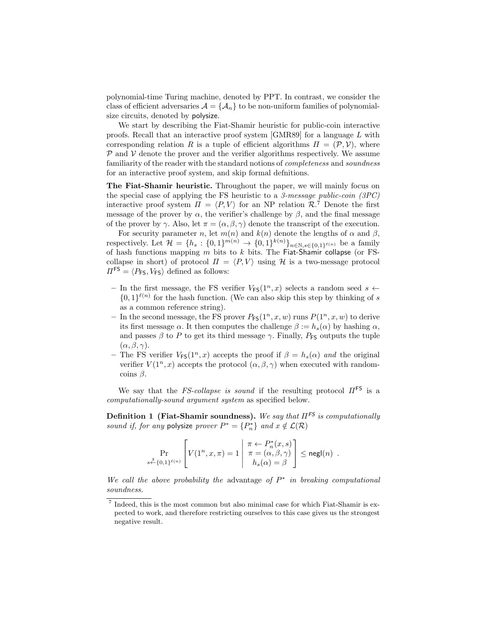polynomial-time Turing machine, denoted by PPT. In contrast, we consider the class of efficient adversaries  $\mathcal{A} = \{A_n\}$  to be non-uniform families of polynomialsize circuits, denoted by polysize.

We start by describing the Fiat-Shamir heuristic for public-coin interactive proofs. Recall that an interactive proof system  $\lbrack \text{GMR89} \rbrack$  for a language L with corresponding relation R is a tuple of efficient algorithms  $\Pi = (\mathcal{P}, \mathcal{V})$ , where  $\mathcal P$  and  $\mathcal V$  denote the prover and the verifier algorithms respectively. We assume familiarity of the reader with the standard notions of *completeness* and *soundness* for an interactive proof system, and skip formal defnitions.

The Fiat-Shamir heuristic. Throughout the paper, we will mainly focus on the special case of applying the FS heuristic to a 3-message public-coin  $(3PC)$ interactive proof system  $\Pi = \langle P, V \rangle$  for an NP relation  $\mathcal{R}$ .<sup>7</sup> Denote the first message of the prover by  $\alpha$ , the verifier's challenge by  $\beta$ , and the final message of the prover by  $\gamma$ . Also, let  $\pi = (\alpha, \beta, \gamma)$  denote the transcript of the execution.

For security parameter n, let  $m(n)$  and  $k(n)$  denote the lengths of  $\alpha$  and  $\beta$ , respectively. Let  $\mathcal{H} = \{h_s : \{0,1\}^{m(n)} \to \{0,1\}^{k(n)}\}_{n \in \mathbb{N}, s \in \{0,1\}^{\ell(n)}}$  be a family of hash functions mapping  $m$  bits to  $k$  bits. The Fiat-Shamir collapse (or FScollapse in short) of protocol  $\Pi = \langle P, V \rangle$  using H is a two-message protocol  $\Pi^{\text{FS}} = \langle P_{\text{FS}}, V_{\text{FS}} \rangle$  defined as follows:

- In the first message, the FS verifier  $V_{FS}(1^n, x)$  selects a random seed  $s \leftarrow$  $\{0,1\}^{\ell(n)}$  for the hash function. (We can also skip this step by thinking of s as a common reference string).
- In the second message, the FS prover  $P_{FS}(1^n, x, w)$  runs  $P(1^n, x, w)$  to derive its first message  $\alpha$ . It then computes the challenge  $\beta := h_s(\alpha)$  by hashing  $\alpha$ , and passes  $\beta$  to P to get its third message  $\gamma$ . Finally,  $P_{FS}$  outputs the tuple  $(\alpha, \beta, \gamma).$
- The FS verifier  $V_{FS}(1^n, x)$  accepts the proof if  $\beta = h_s(\alpha)$  and the original verifier  $V(1^n, x)$  accepts the protocol  $(\alpha, \beta, \gamma)$  when executed with randomcoins  $\beta$ .

We say that the FS-collapse is sound if the resulting protocol  $\Pi$ <sup>FS</sup> is a computationally-sound argument system as specified below.

Definition 1 (Fiat-Shamir soundness). We say that  $\Pi^{FS}$  is computationally sound if, for any polysize prover  $P^* = \{P_n^*\}$  and  $x \notin \mathcal{L}(\mathcal{R})$ 

$$
\Pr_{s \stackrel{\mathcal{S}}{\leftarrow} \{0,1\}^{\ell(n)}} \left[V(1^n, x, \pi) = 1 \left| \begin{array}{c} \pi \leftarrow P_n^*(x, s) \\ \pi = (\alpha, \beta, \gamma) \\ h_s(\alpha) = \beta \end{array} \right. \right] \leq {\mathsf{negl}}(n) \enspace.
$$

We call the above probability the advantage of  $P^*$  in breaking computational soundness.

<sup>7</sup> Indeed, this is the most common but also minimal case for which Fiat-Shamir is expected to work, and therefore restricting ourselves to this case gives us the strongest negative result.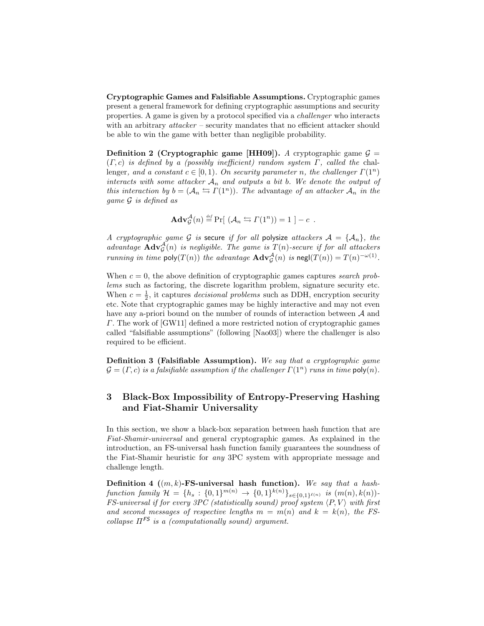Cryptographic Games and Falsifiable Assumptions. Cryptographic games present a general framework for defining cryptographic assumptions and security properties. A game is given by a protocol specified via a challenger who interacts with an arbitrary  $atacker - security$  mandates that no efficient attacker should be able to win the game with better than negligible probability.

**Definition 2 (Cryptographic game [HH09]).** A cryptographic game  $\mathcal{G} =$  $(\Gamma, c)$  is defined by a (possibly inefficient) random system  $\Gamma$ , called the challenger, and a constant  $c \in [0, 1)$ . On security parameter n, the challenger  $\Gamma(1^n)$ interacts with some attacker  $A_n$  and outputs a bit b. We denote the output of this interaction by  $b = (\mathcal{A}_n \leftrightarrows \Gamma(1^n))$ . The advantage of an attacker  $\mathcal{A}_n$  in the game G is defined as

$$
\mathbf{Adv}_{\mathcal{G}}^{\mathcal{A}}(n) \stackrel{\text{def}}{=} \Pr[\ (\mathcal{A}_n \leftrightarrows \Gamma(1^n)) = 1 ] - c .
$$

A cryptographic game G is secure if for all polysize attackers  $A = \{A_n\}$ , the advantage  $\mathbf{Adv}_{\mathcal{G}}^{\mathcal{A}}(n)$  is negligible. The game is  $T(n)$ -secure if for all attackers running in time  $\mathsf{poly}(T(n))$  the advantage  $\mathbf{Adv}_{\mathcal{G}}^{\mathcal{A}}(n)$  is  $\mathsf{negl}(T(n)) = T(n)^{-\omega(1)}$ .

When  $c = 0$ , the above definition of cryptographic games captures search problems such as factoring, the discrete logarithm problem, signature security etc. When  $c = \frac{1}{2}$ , it captures *decisional problems* such as DDH, encryption security etc. Note that cryptographic games may be highly interactive and may not even have any a-priori bound on the number of rounds of interaction between A and Γ. The work of [GW11] defined a more restricted notion of cryptographic games called "falsifiable assumptions" (following [Nao03]) where the challenger is also required to be efficient.

Definition 3 (Falsifiable Assumption). We say that a cryptographic game  $\mathcal{G} = (\Gamma, c)$  is a falsifiable assumption if the challenger  $\Gamma(1^n)$  runs in time poly(n).

# 3 Black-Box Impossibility of Entropy-Preserving Hashing and Fiat-Shamir Universality

In this section, we show a black-box separation between hash function that are Fiat-Shamir-universal and general cryptographic games. As explained in the introduction, an FS-universal hash function family guarantees the soundness of the Fiat-Shamir heuristic for any 3PC system with appropriate message and challenge length.

Definition 4  $((m, k)$ -FS-universal hash function). We say that a hashfunction family  $\mathcal{H} = \{h_s : \{0,1\}^{m(n)} \to \{0,1\}^{k(n)}\}_{s \in \{0,1\}^{\ell(n)}}$  is  $(m(n), k(n))$ -FS-universal if for every 3PC (statistically sound) proof system  $\langle P, V \rangle$  with first and second messages of respective lengths  $m = m(n)$  and  $k = k(n)$ , the FScollapse  $\Pi$ <sup>FS</sup> is a (computationally sound) argument.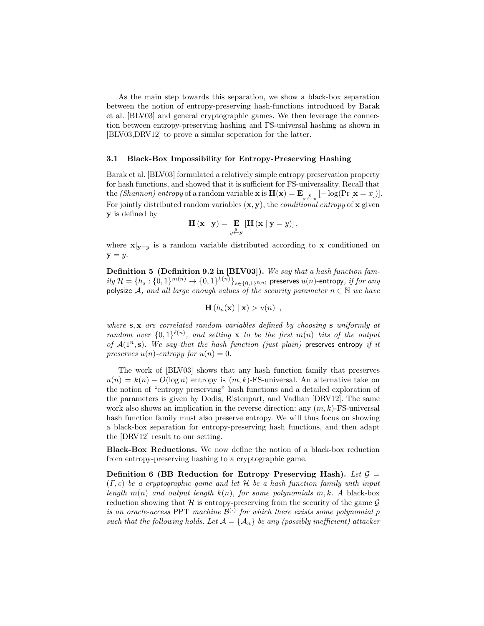As the main step towards this separation, we show a black-box separation between the notion of entropy-preserving hash-functions introduced by Barak et al. [BLV03] and general cryptographic games. We then leverage the connection between entropy-preserving hashing and FS-universal hashing as shown in [BLV03,DRV12] to prove a similar seperation for the latter.

#### 3.1 Black-Box Impossibility for Entropy-Preserving Hashing

Barak et al. [BLV03] formulated a relatively simple entropy preservation property for hash functions, and showed that it is sufficient for FS-universality. Recall that the *(Shannon)* entropy of a random variable  $\mathbf{x}$  is  $\mathbf{H}(\mathbf{x}) = \mathbf{E}_{x \stackrel{\$}{\leftarrow} \mathbf{x}} [-\log(\Pr[\mathbf{x} = x])].$ For jointly distributed random variables  $(x, y)$ , the *conditional entropy* of x given y is defined by

$$
\mathbf{H}(\mathbf{x} \mid \mathbf{y}) = \mathop{\mathbf{E}}_{y \stackrel{\$}{\leftarrow} \mathbf{y}} \left[ \mathbf{H}(\mathbf{x} \mid \mathbf{y} = y) \right],
$$

where  $\mathbf{x}|_{\mathbf{y}=y}$  is a random variable distributed according to  $\mathbf{x}$  conditioned on  $y = y$ .

Definition 5 (Definition 9.2 in [BLV03]). We say that a hash function fam- $\mathit{ily}\ \mathcal{H}=\{h_s:\{0,1\}^{m(n)}\rightarrow\{0,1\}^{k(n)}\}_{s\in\{0,1\}^{\ell(n)}}$  preserves  $\mathit{u}(n)$ -entropy,  $\mathit{if}\ \mathit{for}\ \mathit{any}$ polysize A, and all large enough values of the security parameter  $n \in \mathbb{N}$  we have

$$
\mathbf{H}\left(h_{\mathbf{s}}(\mathbf{x}) \mid \mathbf{x}\right) > u(n) \enspace ,
$$

where  $s, x$  are correlated random variables defined by choosing s uniformly at random over  $\{0,1\}^{\ell(n)}$ , and setting **x** to be the first  $m(n)$  bits of the output of  $\mathcal{A}(1^n, s)$ . We say that the hash function (just plain) preserves entropy if it preserves  $u(n)$ -entropy for  $u(n) = 0$ .

The work of [BLV03] shows that any hash function family that preserves  $u(n) = k(n) - O(\log n)$  entropy is  $(m, k)$ -FS-universal. An alternative take on the notion of "entropy preserving" hash functions and a detailed exploration of the parameters is given by Dodis, Ristenpart, and Vadhan [DRV12]. The same work also shows an implication in the reverse direction: any  $(m, k)$ -FS-universal hash function family must also preserve entropy. We will thus focus on showing a black-box separation for entropy-preserving hash functions, and then adapt the [DRV12] result to our setting.

Black-Box Reductions. We now define the notion of a black-box reduction from entropy-preserving hashing to a cryptographic game.

Definition 6 (BB Reduction for Entropy Preserving Hash). Let  $\mathcal{G} =$  $(\Gamma, c)$  be a cryptographic game and let H be a hash function family with input length  $m(n)$  and output length  $k(n)$ , for some polynomials  $m, k$ . A black-box reduction showing that  $\mathcal H$  is entropy-preserving from the security of the game  $\mathcal G$ is an oracle-access PPT machine  $\mathcal{B}^{(\cdot)}$  for which there exists some polynomial p such that the following holds. Let  $\mathcal{A} = {\mathcal{A}_n}$  be any (possibly inefficient) attacker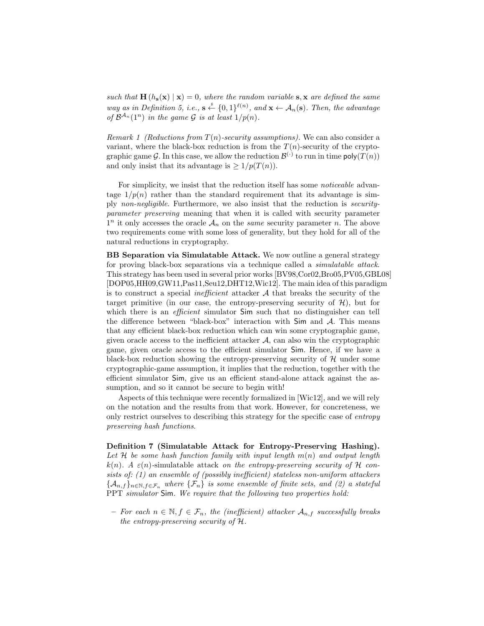such that  $\mathbf{H}(h_{s}(\mathbf{x}) | \mathbf{x}) = 0$ , where the random variable  $s, x$  are defined the same way as in Definition 5, i.e.,  $s \stackrel{s}{\leftarrow} \{0,1\}^{\ell(n)}$ , and  $x \leftarrow A_n(s)$ . Then, the advantage of  $\mathcal{B}^{\mathcal{A}_n}(1^n)$  in the game  $\mathcal G$  is at least  $1/p(n)$ .

*Remark 1 (Reductions from T(n)-security assumptions).* We can also consider a variant, where the black-box reduction is from the  $T(n)$ -security of the cryptographic game G. In this case, we allow the reduction  $\mathcal{B}^{(\cdot)}$  to run in time  $\mathsf{poly}(T(n))$ and only insist that its advantage is  $\geq 1/p(T(n))$ .

For simplicity, we insist that the reduction itself has some noticeable advantage  $1/p(n)$  rather than the standard requirement that its advantage is simply non-negligible. Furthermore, we also insist that the reduction is securityparameter preserving meaning that when it is called with security parameter  $1<sup>n</sup>$  it only accesses the oracle  $A_n$  on the same security parameter n. The above two requirements come with some loss of generality, but they hold for all of the natural reductions in cryptography.

BB Separation via Simulatable Attack. We now outline a general strategy for proving black-box separations via a technique called a simulatable attack. This strategy has been used in several prior works [BV98,Cor02,Bro05,PV05,GBL08] [DOP05,HH09,GW11,Pas11,Seu12,DHT12,Wic12]. The main idea of this paradigm is to construct a special *inefficient* attacker  $A$  that breaks the security of the target primitive (in our case, the entropy-preserving security of  $H$ ), but for which there is an *efficient* simulator Sim such that no distinguisher can tell the difference between "black-box" interaction with Sim and A. This means that any efficient black-box reduction which can win some cryptographic game, given oracle access to the inefficient attacker  $\mathcal{A}$ , can also win the cryptographic game, given oracle access to the efficient simulator Sim. Hence, if we have a black-box reduction showing the entropy-preserving security of  $H$  under some cryptographic-game assumption, it implies that the reduction, together with the efficient simulator Sim, give us an efficient stand-alone attack against the assumption, and so it cannot be secure to begin with!

Aspects of this technique were recently formalized in [Wic12], and we will rely on the notation and the results from that work. However, for concreteness, we only restrict ourselves to describing this strategy for the specific case of entropy preserving hash functions.

Definition 7 (Simulatable Attack for Entropy-Preserving Hashing). Let  $H$  be some hash function family with input length  $m(n)$  and output length  $k(n)$ . A  $\varepsilon(n)$ -simulatable attack on the entropy-preserving security of H consists of: (1) an ensemble of (possibly inefficient) stateless non-uniform attackers  ${\{\mathcal{A}_{n,f}\}}_{n\in\mathbb{N},f\in\mathcal{F}_n}$  where  ${\{\mathcal{F}_n\}}$  is some ensemble of finite sets, and (2) a stateful PPT simulator Sim. We require that the following two properties hold:

– For each  $n \in \mathbb{N}, f \in \mathcal{F}_n$ , the (inefficient) attacker  $\mathcal{A}_{n,f}$  successfully breaks the entropy-preserving security of H.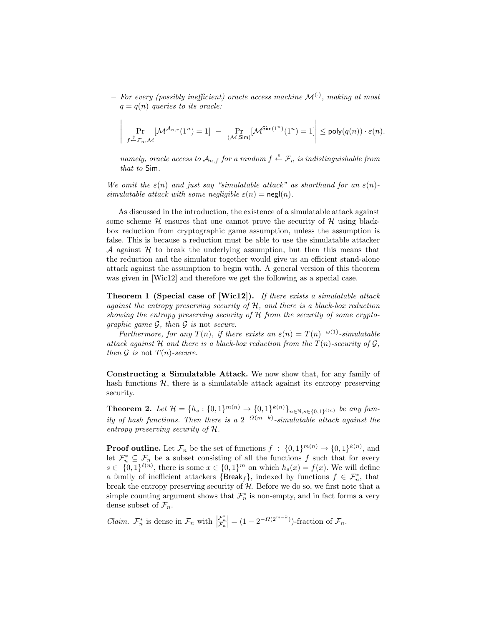$-$  For every (possibly inefficient) oracle access machine  $\mathcal{M}^{(\cdot)}$ , making at most  $q = q(n)$  queries to its oracle:

$$
\left|\Pr_{f \stackrel{\delta}{\leftarrow} \mathcal{F}_n, \mathcal{M}}[\mathcal{M}^{\mathcal{A}_{n,r}}(1^n) = 1] - \Pr_{(\mathcal{M}, \mathsf{Sim})}[\mathcal{M}^{\mathsf{Sim}(1^n)}(1^n) = 1]\right| \le \mathsf{poly}(q(n)) \cdot \varepsilon(n).
$$

namely, oracle access to  $\mathcal{A}_{n,f}$  for a random  $f \stackrel{s}{\leftarrow} \mathcal{F}_n$  is indistinguishable from that to Sim.

We omit the  $\varepsilon(n)$  and just say "simulatable attack" as shorthand for an  $\varepsilon(n)$ simulatable attack with some negligible  $\varepsilon(n) = \text{negl}(n)$ .

As discussed in the introduction, the existence of a simulatable attack against some scheme  $H$  ensures that one cannot prove the security of  $H$  using blackbox reduction from cryptographic game assumption, unless the assumption is false. This is because a reduction must be able to use the simulatable attacker A against  $H$  to break the underlying assumption, but then this means that the reduction and the simulator together would give us an efficient stand-alone attack against the assumption to begin with. A general version of this theorem was given in [Wic12] and therefore we get the following as a special case.

Theorem 1 (Special case of [Wic12]). If there exists a simulatable attack against the entropy preserving security of  $H$ , and there is a black-box reduction showing the entropy preserving security of H from the security of some crypto*graphic game*  $\mathcal{G}$ *, then*  $\mathcal{G}$  *is* not *secure*.

Furthermore, for any  $T(n)$ , if there exists an  $\varepsilon(n) = T(n)^{-\omega(1)}$ -simulatable attack against H and there is a black-box reduction from the  $T(n)$ -security of G, then  $G$  is not  $T(n)$ -secure.

Constructing a Simulatable Attack. We now show that, for any family of hash functions  $H$ , there is a simulatable attack against its entropy preserving security.

**Theorem 2.** Let  $\mathcal{H} = \{h_s : \{0,1\}^{m(n)} \to \{0,1\}^{k(n)}\}_{n \in \mathbb{N}, s \in \{0,1\}^{\ell(n)}}$  be any family of hash functions. Then there is a  $2^{-\Omega(m-k)}$ -simulatable attack against the entropy preserving security of H.

**Proof outline.** Let  $\mathcal{F}_n$  be the set of functions  $f : \{0,1\}^{m(n)} \to \{0,1\}^{k(n)}$ , and let  $\mathcal{F}_n^* \subseteq \mathcal{F}_n$  be a subset consisting of all the functions f such that for every  $s \in \{0,1\}^{\ell(n)}$ , there is some  $x \in \{0,1\}^m$  on which  $h_s(x) = f(x)$ . We will define a family of inefficient attackers  $\{Break_f\}$ , indexed by functions  $f \in \mathcal{F}_n^*$ , that break the entropy preserving security of  $H$ . Before we do so, we first note that a simple counting argument shows that  $\mathcal{F}_n^*$  is non-empty, and in fact forms a very dense subset of  $\mathcal{F}_n$ .

*Claim.*  $\mathcal{F}_n^*$  is dense in  $\mathcal{F}_n$  with  $\frac{|\mathcal{F}_n^*|}{|\mathcal{F}_n|} = (1 - 2^{-\Omega(2^{m-k})})$ -fraction of  $\mathcal{F}_n$ .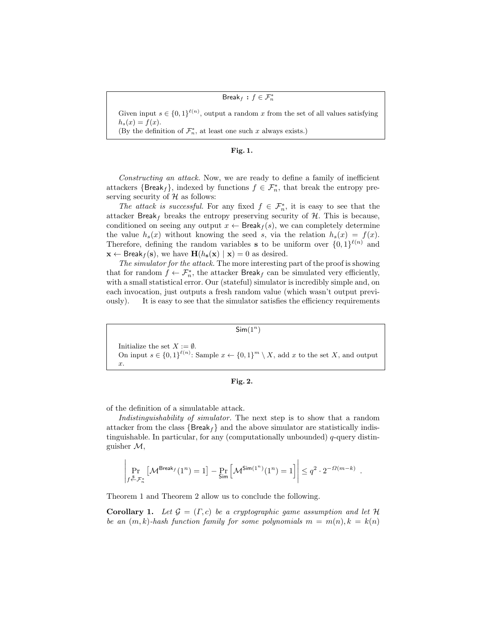# Break $f : f \in \mathcal{F}^*_n$

Given input  $s \in \{0,1\}^{\ell(n)}$ , output a random x from the set of all values satisfying  $h_s(x) = f(x)$ .

(By the definition of  $\mathcal{F}_n^*$ , at least one such x always exists.)

#### Fig. 1.

Constructing an attack. Now, we are ready to define a family of inefficient attackers  $\{Break_f\}$ , indexed by functions  $f \in \mathcal{F}_n^*$ , that break the entropy preserving security of  $H$  as follows:

The attack is successful. For any fixed  $f \in \mathcal{F}_n^*$ , it is easy to see that the attacker Break<sub>f</sub> breaks the entropy preserving security of  $H$ . This is because, conditioned on seeing any output  $x \leftarrow$  Break $_f(s)$ , we can completely determine the value  $h_s(x)$  without knowing the seed s, via the relation  $h_s(x) = f(x)$ . Therefore, defining the random variables **s** to be uniform over  $\{0,1\}^{\ell(n)}$  and  $\mathbf{x} \leftarrow$  Break<sub>f</sub>(s), we have  $\mathbf{H}(h_{s}(\mathbf{x}) | \mathbf{x}) = 0$  as desired.

The simulator for the attack. The more interesting part of the proof is showing that for random  $f \leftarrow \mathcal{F}_n^*$ , the attacker Break<sub>f</sub> can be simulated very efficiently, with a small statistical error. Our (stateful) simulator is incredibly simple and, on each invocation, just outputs a fresh random value (which wasn't output previously). It is easy to see that the simulator satisfies the efficiency requirements

#### $\mathsf{Sim}(1^n)$

Initialize the set  $X := \emptyset$ . On input  $s \in \{0,1\}^{\ell(n)}$ : Sample  $x \leftarrow \{0,1\}^m \setminus X$ , add x to the set X, and output x.

#### Fig. 2.

of the definition of a simulatable attack.

 $\overline{1}$ 

Indistinguishability of simulator. The next step is to show that a random attacker from the class  $\{Break_f\}$  and the above simulator are statistically indistinguishable. In particular, for any (computationally unbounded)  $q$ -query distinguisher M,

$$
\left|\Pr_{f \stackrel{s}{\leftarrow} \mathcal{F}_n^*} \left[\mathcal{M}^{\mathsf{Break}_f}(1^n) = 1\right] - \Pr_{\mathsf{Sim}}\left[\mathcal{M}^{\mathsf{Sim}(1^n)}(1^n) = 1\right]\right| \leq q^2 \cdot 2^{-\Omega(m-k)}.
$$

 $\mathbf{I}$ 

Theorem 1 and Theorem 2 allow us to conclude the following.

**Corollary 1.** Let  $\mathcal{G} = (\Gamma, c)$  be a cryptographic game assumption and let  $\mathcal{H}$ be an  $(m, k)$ -hash function family for some polynomials  $m = m(n), k = k(n)$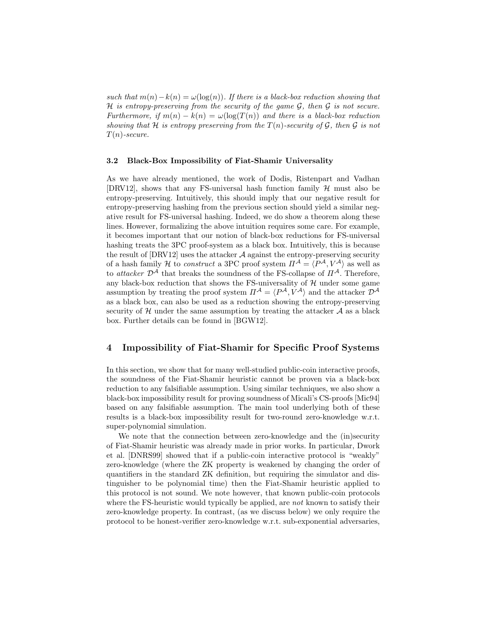such that  $m(n)-k(n) = \omega(\log(n))$ . If there is a black-box reduction showing that H is entropy-preserving from the security of the game  $\mathcal G$ , then  $\mathcal G$  is not secure. Furthermore, if  $m(n) - k(n) = \omega(\log(T(n))$  and there is a black-box reduction showing that H is entropy preserving from the  $T(n)$ -security of G, then G is not  $T(n)$ -secure.

#### 3.2 Black-Box Impossibility of Fiat-Shamir Universality

As we have already mentioned, the work of Dodis, Ristenpart and Vadhan [DRV12], shows that any FS-universal hash function family  $H$  must also be entropy-preserving. Intuitively, this should imply that our negative result for entropy-preserving hashing from the previous section should yield a similar negative result for FS-universal hashing. Indeed, we do show a theorem along these lines. However, formalizing the above intuition requires some care. For example, it becomes important that our notion of black-box reductions for FS-universal hashing treats the 3PC proof-system as a black box. Intuitively, this is because the result of  $\text{[DRV12]}$  uses the attacker  $\mathcal A$  against the entropy-preserving security of a hash family H to *construct* a 3PC proof system  $\Pi^{\mathcal{A}} = \langle P^{\mathcal{A}}, V^{\mathcal{A}} \rangle$  as well as to *attacker*  $\mathcal{D}^{\mathcal{A}}$  that breaks the soundness of the FS-collapse of  $\Pi^{\mathcal{A}}$ . Therefore, any black-box reduction that shows the FS-universality of  $H$  under some game assumption by treating the proof system  $\Pi^{\mathcal{A}} = \langle P^{\mathcal{A}}, V^{\mathcal{A}} \rangle$  and the attacker  $\mathcal{D}^{\mathcal{A}}$ as a black box, can also be used as a reduction showing the entropy-preserving security of  $\mathcal{H}$  under the same assumption by treating the attacker  $\mathcal{A}$  as a black box. Further details can be found in [BGW12].

### 4 Impossibility of Fiat-Shamir for Specific Proof Systems

In this section, we show that for many well-studied public-coin interactive proofs, the soundness of the Fiat-Shamir heuristic cannot be proven via a black-box reduction to any falsifiable assumption. Using similar techniques, we also show a black-box impossibility result for proving soundness of Micali's CS-proofs [Mic94] based on any falsifiable assumption. The main tool underlying both of these results is a black-box impossibility result for two-round zero-knowledge w.r.t. super-polynomial simulation.

We note that the connection between zero-knowledge and the (in)security of Fiat-Shamir heuristic was already made in prior works. In particular, Dwork et al. [DNRS99] showed that if a public-coin interactive protocol is "weakly" zero-knowledge (where the ZK property is weakened by changing the order of quantifiers in the standard ZK definition, but requiring the simulator and distinguisher to be polynomial time) then the Fiat-Shamir heuristic applied to this protocol is not sound. We note however, that known public-coin protocols where the FS-heuristic would typically be applied, are *not* known to satisfy their zero-knowledge property. In contrast, (as we discuss below) we only require the protocol to be honest-verifier zero-knowledge w.r.t. sub-exponential adversaries,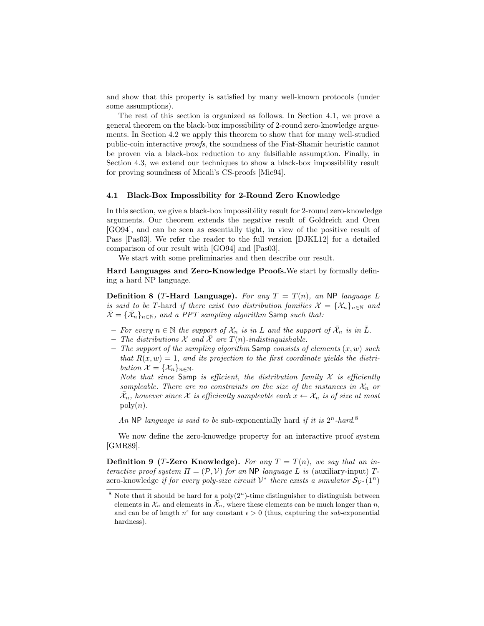and show that this property is satisfied by many well-known protocols (under some assumptions).

The rest of this section is organized as follows. In Section 4.1, we prove a general theorem on the black-box impossibility of 2-round zero-knowledge arguements. In Section 4.2 we apply this theorem to show that for many well-studied public-coin interactive proofs, the soundness of the Fiat-Shamir heuristic cannot be proven via a black-box reduction to any falsifiable assumption. Finally, in Section 4.3, we extend our techniques to show a black-box impossibility result for proving soundness of Micali's CS-proofs [Mic94].

#### 4.1 Black-Box Impossibility for 2-Round Zero Knowledge

In this section, we give a black-box impossibility result for 2-round zero-knowledge arguments. Our theorem extends the negative result of Goldreich and Oren [GO94], and can be seen as essentially tight, in view of the positive result of Pass [Pas03]. We refer the reader to the full version [DJKL12] for a detailed comparison of our result with [GO94] and [Pas03].

We start with some preliminaries and then describe our result.

Hard Languages and Zero-Knowledge Proofs.We start by formally defining a hard NP language.

**Definition 8 (T-Hard Language).** For any  $T = T(n)$ , an NP language L is said to be T-hard if there exist two distribution families  $\mathcal{X} = {\mathcal{X}_n}_{n \in \mathbb{N}}$  and  $\bar{\mathcal{X}} = {\bar{X}_n}_{n \in \mathbb{N}}$ , and a PPT sampling algorithm Samp such that:

- − For every  $n \in \mathbb{N}$  the support of  $\mathcal{X}_n$  is in L and the support of  $\bar{\mathcal{X}}_n$  is in  $\bar{L}$ .
- The distributions X and  $\overline{X}$  are  $T(n)$ -indistinguishable.
- The support of the sampling algorithm Samp consists of elements  $(x, w)$  such that  $R(x, w) = 1$ , and its projection to the first coordinate yields the distribution  $\mathcal{X} = {\mathcal{X}_n}_{n \in \mathbb{N}}$ .

Note that since Samp is efficient, the distribution family  $X$  is efficiently sampleable. There are no constraints on the size of the instances in  $\mathcal{X}_n$  or  $\bar{\mathcal{X}}_n$ , however since X is efficiently sampleable each  $x \leftarrow \mathcal{X}_n$  is of size at most  $\mathrm{poly}(n)$ .

An NP language is said to be sub-exponentially hard if it is  $2^n$ -hard.<sup>8</sup>

We now define the zero-knowedge property for an interactive proof system [GMR89].

**Definition 9 (T-Zero Knowledge).** For any  $T = T(n)$ , we say that an interactive proof system  $\Pi = (\mathcal{P}, \mathcal{V})$  for an NP language L is (auxiliary-input) Tzero-knowledge if for every poly-size circuit  $\mathcal{V}^*$  there exists a simulator  $\mathcal{S}_{\mathcal{V}^*}(1^n)$ 

<sup>&</sup>lt;sup>8</sup> Note that it should be hard for a poly $(2<sup>n</sup>)$ -time distinguisher to distinguish between elements in  $\mathcal{X}_n$  and elements in  $\bar{\mathcal{X}}_n$ , where these elements can be much longer than n, and can be of length  $n^{\epsilon}$  for any constant  $\epsilon > 0$  (thus, capturing the sub-exponential hardness).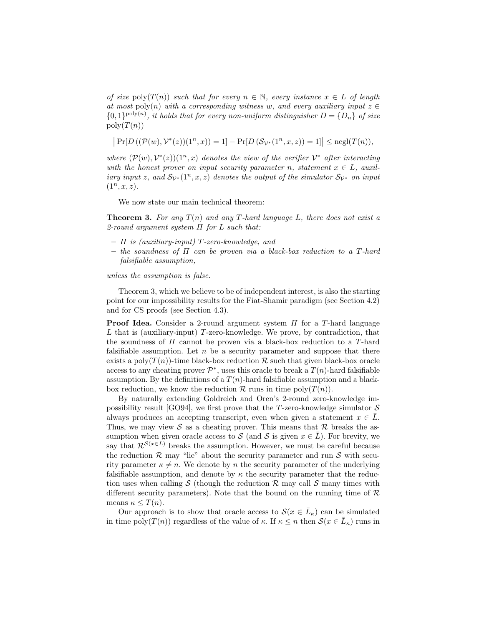of size poly( $T(n)$ ) such that for every  $n \in \mathbb{N}$ , every instance  $x \in L$  of length at most poly(n) with a corresponding witness w, and every auxiliary input  $z \in$  ${0,1}^{\text{poly}(n)}$ , it holds that for every non-uniform distinguisher  $D = \{D_n\}$  of size  $poly(T(n))$ 

$$
\left| \Pr[D((\mathcal{P}(w), \mathcal{V}^*(z))(1^n, x)) = 1] - \Pr[D(\mathcal{S}_{\mathcal{V}^*}(1^n, x, z)) = 1] \right| \le \text{negl}(T(n)),
$$

where  $(\mathcal{P}(w), \mathcal{V}^*(z))(1^n, x)$  denotes the view of the verifier  $\mathcal{V}^*$  after interacting with the honest prover on input security parameter n, statement  $x \in L$ , auxiliary input z, and  $S_{\mathcal{V}^*}(1^n, x, z)$  denotes the output of the simulator  $S_{\mathcal{V}^*}$  on input  $(1^n, x, z).$ 

We now state our main technical theorem:

**Theorem 3.** For any  $T(n)$  and any T-hard language L, there does not exist a 2-round argument system  $\Pi$  for  $L$  such that:

- $\Pi$  is (auxiliary-input) T-zero-knowledge, and
- $-$  the soundness of  $\Pi$  can be proven via a black-box reduction to a T-hard falsifiable assumption,

unless the assumption is false.

Theorem 3, which we believe to be of independent interest, is also the starting point for our impossibility results for the Fiat-Shamir paradigm (see Section 4.2) and for CS proofs (see Section 4.3).

**Proof Idea.** Consider a 2-round argument system  $\Pi$  for a T-hard language  $L$  that is (auxiliary-input) T-zero-knowledge. We prove, by contradiction, that the soundness of  $\Pi$  cannot be proven via a black-box reduction to a T-hard falsifiable assumption. Let  $n$  be a security parameter and suppose that there exists a poly( $T(n)$ )-time black-box reduction R such that given black-box oracle access to any cheating prover  $\mathcal{P}^*$ , uses this oracle to break a  $T(n)$ -hard falsifiable assumption. By the definitions of a  $T(n)$ -hard falsifiable assumption and a blackbox reduction, we know the reduction  $\mathcal R$  runs in time poly $(T(n))$ .

By naturally extending Goldreich and Oren's 2-round zero-knowledge impossibility result [GO94], we first prove that the T-zero-knowledge simulator  $S$ always produces an accepting transcript, even when given a statement  $x \in L$ . Thus, we may view S as a cheating prover. This means that  $\mathcal R$  breaks the assumption when given oracle access to S (and S is given  $x \in \overline{L}$ ). For brevity, we say that  $\mathcal{R}^{\mathcal{S}(x \in \bar{L})}$  breaks the assumption. However, we must be careful because the reduction  $\mathcal R$  may "lie" about the security parameter and run  $\mathcal S$  with security parameter  $\kappa \neq n$ . We denote by n the security parameter of the underlying falsifiable assumption, and denote by  $\kappa$  the security parameter that the reduction uses when calling S (though the reduction R may call S many times with different security parameters). Note that the bound on the running time of  $\mathcal{R}$ means  $\kappa \leq T(n)$ .

Our approach is to show that oracle access to  $\mathcal{S}(x \in \bar{L}_{\kappa})$  can be simulated in time poly $(T(n))$  regardless of the value of  $\kappa$ . If  $\kappa \leq n$  then  $\mathcal{S}(x \in \bar{L}_{\kappa})$  runs in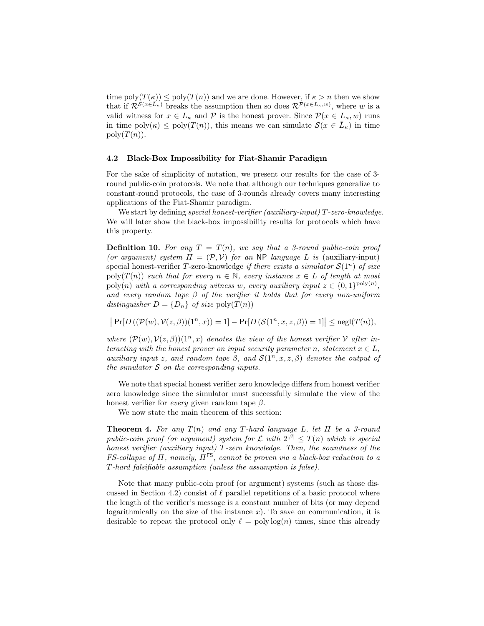time  $\text{poly}(T(\kappa)) \le \text{poly}(T(n))$  and we are done. However, if  $\kappa > n$  then we show that if  $\mathcal{R}^{\mathcal{S}(x \in \mathcal{L}_{\kappa})}$  breaks the assumption then so does  $\mathcal{R}^{\mathcal{P}(x \in L_{\kappa},w)}$ , where w is a valid witness for  $x \in L_{\kappa}$  and P is the honest prover. Since  $\mathcal{P}(x \in L_{\kappa}, w)$  runs in time  $\text{poly}(\kappa) \le \text{poly}(T(n))$ , this means we can simulate  $\mathcal{S}(x \in \bar{L}_{\kappa})$  in time  $poly(T(n)).$ 

#### 4.2 Black-Box Impossibility for Fiat-Shamir Paradigm

For the sake of simplicity of notation, we present our results for the case of 3 round public-coin protocols. We note that although our techniques generalize to constant-round protocols, the case of 3-rounds already covers many interesting applications of the Fiat-Shamir paradigm.

We start by defining *special honest-verifier (auxiliary-input)* T-zero-knowledge. We will later show the black-box impossibility results for protocols which have this property.

**Definition 10.** For any  $T = T(n)$ , we say that a 3-round public-coin proof (or argument) system  $\Pi = (\mathcal{P}, V)$  for an NP language L is (auxiliary-input) special honest-verifier T-zero-knowledge if there exists a simulator  $\mathcal{S}(1^n)$  of size poly( $T(n)$ ) such that for every  $n \in \mathbb{N}$ , every instance  $x \in L$  of length at most poly(n) with a corresponding witness w, every auxiliary input  $z \in \{0,1\}^{\text{poly}(n)}$ , and every random tape  $\beta$  of the verifier it holds that for every non-uniform distinguisher  $D = \{D_n\}$  of size  $\text{poly}(T(n))$ 

 $\left|\Pr[D((\mathcal{P}(w), \mathcal{V}(z, \beta))(1^n, x)) = 1] - \Pr[D(\mathcal{S}(1^n, x, z, \beta)) = 1]\right| \leq \text{negl}(T(n)),$ 

where  $(\mathcal{P}(w), \mathcal{V}(z, \beta))(1^n, x)$  denotes the view of the honest verifier  $\mathcal V$  after interacting with the honest prover on input security parameter n, statement  $x \in L$ , auxiliary input z, and random tape  $\beta$ , and  $\mathcal{S}(1^n, x, z, \beta)$  denotes the output of the simulator  $S$  on the corresponding inputs.

We note that special honest verifier zero knowledge differs from honest verifier zero knowledge since the simulator must successfully simulate the view of the honest verifier for *every* given random tape  $\beta$ .

We now state the main theorem of this section:

**Theorem 4.** For any  $T(n)$  and any T-hard language L, let  $\Pi$  be a 3-round public-coin proof (or argument) system for  $\mathcal L$  with  $2^{|\beta|} \leq T(n)$  which is special honest verifier (auxiliary input) T-zero knowledge. Then, the soundness of the FS-collapse of  $\Pi$ , namely,  $\Pi$ <sup>FS</sup>, cannot be proven via a black-box reduction to a T-hard falsifiable assumption (unless the assumption is false).

Note that many public-coin proof (or argument) systems (such as those discussed in Section 4.2) consist of  $\ell$  parallel repetitions of a basic protocol where the length of the verifier's message is a constant number of bits (or may depend logarithmically on the size of the instance  $x$ ). To save on communication, it is desirable to repeat the protocol only  $\ell = \text{poly}\log(n)$  times, since this already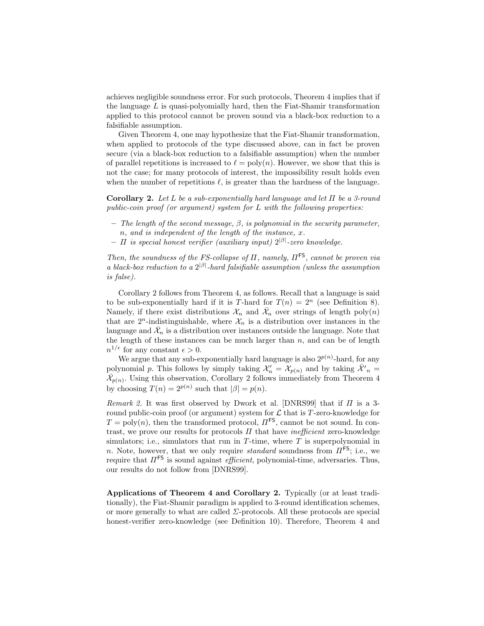achieves negligible soundness error. For such protocols, Theorem 4 implies that if the language  $L$  is quasi-polyomially hard, then the Fiat-Shamir transformation applied to this protocol cannot be proven sound via a black-box reduction to a falsifiable assumption.

Given Theorem 4, one may hypothesize that the Fiat-Shamir transformation, when applied to protocols of the type discussed above, can in fact be proven secure (via a black-box reduction to a falsifiable assumption) when the number of parallel repetitions is increased to  $\ell = \text{poly}(n)$ . However, we show that this is not the case; for many protocols of interest, the impossibility result holds even when the number of repetitions  $\ell$ , is greater than the hardness of the language.

Corollary 2. Let L be a sub-exponentially hard language and let  $\Pi$  be a 3-round public-coin proof (or argument) system for L with the following properties:

- $-$  The length of the second message,  $\beta$ , is polynomial in the security parameter,  $n,$  and is independent of the length of the instance, x.
- $-$  *Π* is special honest verifier (auxiliary input)  $2^{|\beta|}$ -zero knowledge.

is false).

Then, the soundness of the FS-collapse of  $\Pi$ , namely,  $\Pi$ <sup>FS</sup>, cannot be proven via a black-box reduction to a  $2^{|\beta|}$ -hard falsifiable assumption (unless the assumption

Corollary 2 follows from Theorem 4, as follows. Recall that a language is said to be sub-exponentially hard if it is T-hard for  $T(n) = 2^n$  (see Definition 8). Namely, if there exist distributions  $\mathcal{X}_n$  and  $\bar{\mathcal{X}}_n$  over strings of length poly $(n)$ that are  $2^n$ -indistinguishable, where  $\mathcal{X}_n$  is a distribution over instances in the language and  $\bar{\mathcal{X}}_n$  is a distribution over instances outside the language. Note that the length of these instances can be much larger than  $n$ , and can be of length  $n^{1/\epsilon}$  for any constant  $\epsilon > 0$ .

We argue that any sub-exponentially hard language is also  $2^{p(n)}$ -hard, for any polynomial p. This follows by simply taking  $\mathcal{X}'_n = \mathcal{X}_{p(n)}$  and by taking  $\bar{\mathcal{X}}'_n =$  $\overline{\mathcal{X}}_{p(n)}$ . Using this observation, Corollary 2 follows immediately from Theorem 4 by choosing  $T(n) = 2^{p(n)}$  such that  $|\beta| = p(n)$ .

Remark 2. It was first observed by Dwork et al. [DNRS99] that if  $\Pi$  is a 3round public-coin proof (or argument) system for  $\mathcal L$  that is T-zero-knowledge for T = poly(n), then the transformed protocol,  $\Pi^{FS}$ , cannot be not sound. In contrast, we prove our results for protocols  $\Pi$  that have *inefficient* zero-knowledge simulators; i.e., simulators that run in  $T$ -time, where  $T$  is superpolynomial in n. Note, however, that we only require *standard* soundness from  $\Pi^{\mathsf{FS}}$ ; i.e., we require that  $\Pi^{\text{FS}}$  is sound against *efficient*, polynomial-time, adversaries. Thus, our results do not follow from [DNRS99].

Applications of Theorem 4 and Corollary 2. Typically (or at least traditionally), the Fiat-Shamir paradigm is applied to 3-round identification schemes, or more generally to what are called  $\Sigma$ -protocols. All these protocols are special honest-verifier zero-knowledge (see Definition 10). Therefore, Theorem 4 and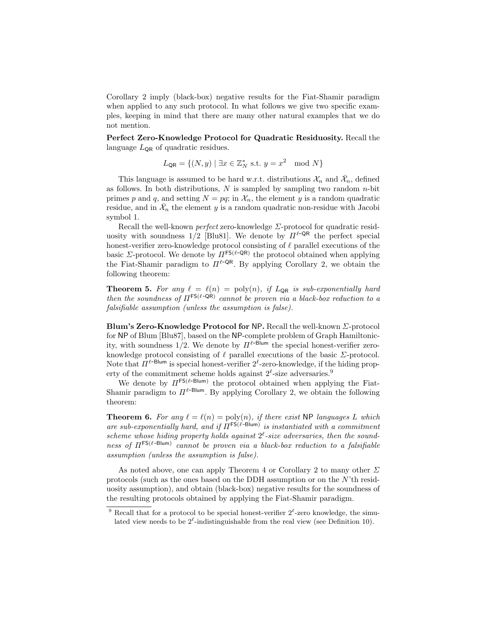Corollary 2 imply (black-box) negative results for the Fiat-Shamir paradigm when applied to any such protocol. In what follows we give two specific examples, keeping in mind that there are many other natural examples that we do not mention.

Perfect Zero-Knowledge Protocol for Quadratic Residuosity. Recall the language  $L_{QR}$  of quadratic residues.

$$
L_{\mathsf{QR}} = \{(N, y) \mid \exists x \in \mathbb{Z}_N^* \text{ s.t. } y = x^2 \mod N\}
$$

This language is assumed to be hard w.r.t. distributions  $\mathcal{X}_n$  and  $\bar{\mathcal{X}}_n$ , defined as follows. In both distributions,  $N$  is sampled by sampling two random  $n$ -bit primes p and q, and setting  $N = pq$ ; in  $\mathcal{X}_n$ , the element y is a random quadratic residue, and in  $\bar{\mathcal{X}}_n$  the element y is a random quadratic non-residue with Jacobi symbol 1.

Recall the well-known *perfect* zero-knowledge  $\Sigma$ -protocol for quadratic residuosity with soundness 1/2 [Blu81]. We denote by  $\Pi^{\ell-\mathsf{QR}}$  the perfect special honest-verifier zero-knowledge protocol consisting of  $\ell$  parallel executions of the basic  $\Sigma$ -protocol. We denote by  $\Pi^{\mathsf{FS}(\ell\text{-QR})}$  the protocol obtained when applying the Fiat-Shamir paradigm to  $\Pi^{\ell-\mathsf{QR}}$ . By applying Corollary 2, we obtain the following theorem:

**Theorem 5.** For any  $\ell = \ell(n) = \text{poly}(n)$ , if  $L_{QR}$  is sub-exponentially hard then the soundness of  $\Pi^{\text{FS}(\ell\text{-QR})'}$  cannot be proven via a black-box reduction to a falsifiable assumption (unless the assumption is false).

Blum's Zero-Knowledge Protocol for NP. Recall the well-known Σ-protocol for NP of Blum [Blu87], based on the NP-complete problem of Graph Hamiltonicity, with soundness  $1/2$ . We denote by  $\Pi^{\ell-\text{Blum}}$  the special honest-verifier zeroknowledge protocol consisting of  $\ell$  parallel executions of the basic  $\Sigma$ -protocol. Note that  $\Pi^{\ell-\text{Blum}}$  is special honest-verifier  $2^{\ell}$ -zero-knowledge, if the hiding property of the commitment scheme holds against  $2^{\ell}$ -size adversaries.<sup>9</sup>

We denote by  $\Pi^{\mathsf{FS}(\ell\text{-Blum})}$  the protocol obtained when applying the Fiat-Shamir paradigm to  $\Pi^{\ell-\text{Blum}}$ . By applying Corollary 2, we obtain the following theorem:

**Theorem 6.** For any  $\ell = \ell(n) = \text{poly}(n)$ , if there exist NP languages L which are sub-exponentially hard, and if  $\Pi^{\mathsf{FS}(\ell\text{-}\mathsf{Blum})}$  is instantiated with a commitment scheme whose hiding property holds against  $2^{\ell}$ -size adversaries, then the soundness of  $\Pi^{\mathsf{FS}(\ell\text{-Blum})}$  cannot be proven via a black-box reduction to a falsifiable assumption (unless the assumption is false).

As noted above, one can apply Theorem 4 or Corollary 2 to many other  $\Sigma$ protocols (such as the ones based on the DDH assumption or on the N'th residuosity assumption), and obtain (black-box) negative results for the soundness of the resulting protocols obtained by applying the Fiat-Shamir paradigm.

<sup>&</sup>lt;sup>9</sup> Recall that for a protocol to be special honest-verifier  $2^{\ell}$ -zero knowledge, the simulated view needs to be  $2^{\ell}$ -indistinguishable from the real view (see Definition 10).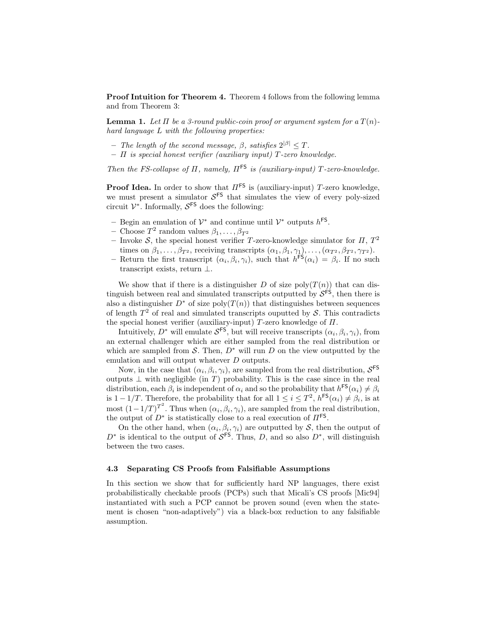Proof Intuition for Theorem 4. Theorem 4 follows from the following lemma and from Theorem 3:

**Lemma 1.** Let  $\Pi$  be a 3-round public-coin proof or argument system for a  $T(n)$ hard language L with the following properties:

- The length of the second message,  $\beta$ , satisfies  $2^{|\beta|} \leq T$ .
- $\Pi$  is special honest verifier (auxiliary input) T-zero knowledge.

Then the FS-collapse of  $\Pi$ , namely,  $\Pi^{\text{FS}}$  is (auxiliary-input) T-zero-knowledge.

**Proof Idea.** In order to show that  $\Pi^{\text{FS}}$  is (auxiliary-input) T-zero knowledge, we must present a simulator  $S^{FS}$  that simulates the view of every poly-sized circuit  $V^*$ . Informally,  $S^{FS}$  does the following:

- Begin an emulation of  $\mathcal{V}^*$  and continue until  $\mathcal{V}^*$  outputs  $h^{\text{FS}}$ .
- Choose  $T^2$  random values  $\beta_1, \ldots, \beta_{T^2}$
- Invoke S, the special honest verifier T-zero-knowledge simulator for  $\Pi$ ,  $T^2$ times on  $\beta_1, \ldots, \beta_{T^2}$ , receiving transcripts  $(\alpha_1, \beta_1, \gamma_1), \ldots, (\alpha_{T^2}, \beta_{T^2}, \gamma_{T^2})$ .
- Return the first transcript  $(\alpha_i, \beta_i, \gamma_i)$ , such that  $h^{\text{FS}}(\alpha_i) = \beta_i$ . If no such transcript exists, return ⊥.

We show that if there is a distinguisher D of size  $poly(T(n))$  that can distinguish between real and simulated transcripts outputted by  $S<sup>FS</sup>$ , then there is also a distinguisher  $D^*$  of size poly $(T(n))$  that distinguishes between sequences of length  $T^2$  of real and simulated transcripts ouputted by S. This contradicts the special honest verifier (auxiliary-input) T-zero knowledge of  $\Pi$ .

Intuitively,  $D^*$  will emulate  $S^{FS}$ , but will receive transcripts  $(\alpha_i, \beta_i, \gamma_i)$ , from an external challenger which are either sampled from the real distribution or which are sampled from S. Then,  $D^*$  will run D on the view outputted by the emulation and will output whatever D outputs.

Now, in the case that  $(\alpha_i, \beta_i, \gamma_i)$ , are sampled from the real distribution,  $S^{FS}$ outputs  $\perp$  with negligible (in T) probability. This is the case since in the real distribution, each  $\beta_i$  is independent of  $\alpha_i$  and so the probability that  $h^{\text{FS}}(\alpha_i) \neq \beta_i$ is  $1 - 1/T$ . Therefore, the probability that for all  $1 \leq i \leq T^2$ ,  $h^{\text{FS}}(\alpha_i) \neq \beta_i$ , is at most  $(1 - 1/T)^{T^2}$ . Thus when  $(\alpha_i, \beta_i, \gamma_i)$ , are sampled from the real distribution, the output of  $D^*$  is statistically close to a real execution of  $\Pi^{\mathsf{FS}}$ .

On the other hand, when  $(\alpha_i, \beta_i, \gamma_i)$  are outputted by S, then the output of  $D^*$  is identical to the output of  $S^{FS}$ . Thus, D, and so also  $D^*$ , will distinguish between the two cases.

#### 4.3 Separating CS Proofs from Falsifiable Assumptions

In this section we show that for sufficiently hard NP languages, there exist probabilistically checkable proofs (PCPs) such that Micali's CS proofs [Mic94] instantiated with such a PCP cannot be proven sound (even when the statement is chosen "non-adaptively") via a black-box reduction to any falsifiable assumption.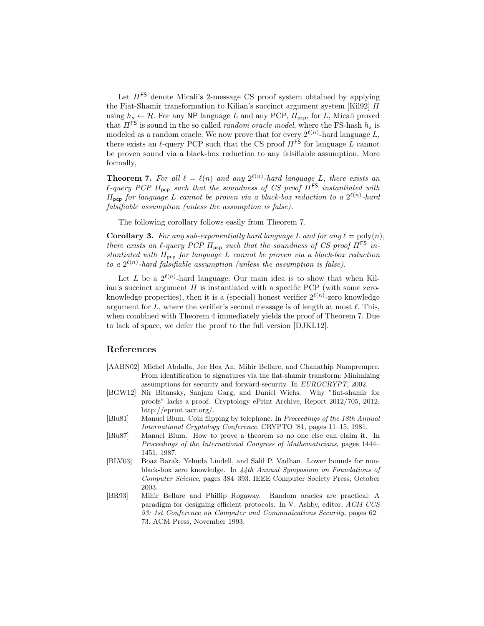Let  $\Pi$ <sup>FS</sup> denote Micali's 2-message CS proof system obtained by applying the Fiat-Shamir transformation to Kilian's succinct argument system [Kil92]  $\Pi$ using  $h_s \leftarrow \mathcal{H}$ . For any NP language L and any PCP,  $\Pi_{\text{pcp}}$ , for L, Micali proved that  $\Pi^{\text{FS}}$  is sound in the so called *random oracle model*, where the FS-hash  $h_s$  is modeled as a random oracle. We now prove that for every  $2^{\ell(n)}$ -hard language L, there exists an  $\ell$ -query PCP such that the CS proof  $\Pi$ <sup>FS</sup> for language  $\overline{L}$  cannot be proven sound via a black-box reduction to any falsifiable assumption. More formally,

**Theorem 7.** For all  $\ell = \ell(n)$  and any  $2^{\ell(n)}$ -hard language L, there exists an  $\ell$ -query PCP  $\Pi_{\text{pco}}$  such that the soundness of CS proof  $\overline{\Pi}^{\text{FS}}$  instantiated with  $\Pi_{\textsf{pep}}$  for language L cannot be proven via a black-box reduction to a  $2^{\ell(n)}$ -hard falsifiable assumption (unless the assumption is false).

The following corollary follows easily from Theorem 7.

**Corollary 3.** For any sub-exponentially hard language L and for any  $\ell = \text{poly}(n)$ , there exists an  $\ell$ -query PCP  $\Pi_{\text{pcp}}$  such that the soundness of CS proof  $\Pi^{\text{FS}}$  instantiated with  $\Pi_{\text{pcp}}$  for language L cannot be proven via a black-box reduction to a  $2^{\ell(n)}$ -hard falsifiable assumption (unless the assumption is false).

Let L be a  $2^{\ell(n)}$ -hard language. Our main idea is to show that when Kilian's succinct argument  $\Pi$  is instantiated with a specific PCP (with some zeroknowledge properties), then it is a (special) honest verifier  $2^{\ell(n)}$ -zero knowledge argument for L, where the verifier's second message is of length at most  $\ell$ . This, when combined with Theorem 4 immediately yields the proof of Theorem 7. Due to lack of space, we defer the proof to the full version [DJKL12].

### References

- [AABN02] Michel Abdalla, Jee Hea An, Mihir Bellare, and Chanathip Namprempre. From identification to signatures via the fiat-shamir transform: Minimizing assumptions for security and forward-security. In EUROCRYPT, 2002.
- [BGW12] Nir Bitansky, Sanjam Garg, and Daniel Wichs. Why "fiat-shamir for proofs" lacks a proof. Cryptology ePrint Archive, Report 2012/705, 2012. http://eprint.iacr.org/.
- [Blu81] Manuel Blum. Coin flipping by telephone. In Proceedings of the 18th Annual International Cryptology Conference, CRYPTO '81, pages 11–15, 1981.
- [Blu87] Manuel Blum. How to prove a theorem so no one else can claim it. In Proceedings of the International Congress of Mathematicians, pages 1444– 1451, 1987.
- [BLV03] Boaz Barak, Yehuda Lindell, and Salil P. Vadhan. Lower bounds for nonblack-box zero knowledge. In 44th Annual Symposium on Foundations of Computer Science, pages 384–393. IEEE Computer Society Press, October 2003.
- [BR93] Mihir Bellare and Phillip Rogaway. Random oracles are practical: A paradigm for designing efficient protocols. In V. Ashby, editor, ACM CCS 93: 1st Conference on Computer and Communications Security, pages 62– 73. ACM Press, November 1993.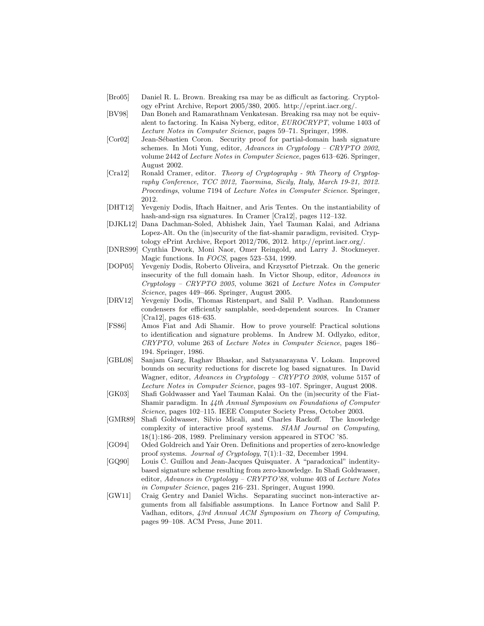- [Bro05] Daniel R. L. Brown. Breaking rsa may be as difficult as factoring. Cryptology ePrint Archive, Report 2005/380, 2005. http://eprint.iacr.org/.
- [BV98] Dan Boneh and Ramarathnam Venkatesan. Breaking rsa may not be equivalent to factoring. In Kaisa Nyberg, editor, EUROCRYPT, volume 1403 of Lecture Notes in Computer Science, pages 59–71. Springer, 1998.
- [Cor02] Jean-Sébastien Coron. Security proof for partial-domain hash signature schemes. In Moti Yung, editor, Advances in Cryptology – CRYPTO 2002, volume 2442 of Lecture Notes in Computer Science, pages 613–626. Springer, August 2002.
- [Cra12] Ronald Cramer, editor. Theory of Cryptography 9th Theory of Cryptography Conference, TCC 2012, Taormina, Sicily, Italy, March 19-21, 2012. Proceedings, volume 7194 of Lecture Notes in Computer Science. Springer, 2012.
- [DHT12] Yevgeniy Dodis, Iftach Haitner, and Aris Tentes. On the instantiability of hash-and-sign rsa signatures. In Cramer [Cra12], pages 112–132.
- [DJKL12] Dana Dachman-Soled, Abhishek Jain, Yael Tauman Kalai, and Adriana Lopez-Alt. On the (in)security of the fiat-shamir paradigm, revisited. Cryptology ePrint Archive, Report 2012/706, 2012. http://eprint.iacr.org/.
- [DNRS99] Cynthia Dwork, Moni Naor, Omer Reingold, and Larry J. Stockmeyer. Magic functions. In FOCS, pages 523–534, 1999.
- [DOP05] Yevgeniy Dodis, Roberto Oliveira, and Krzysztof Pietrzak. On the generic insecurity of the full domain hash. In Victor Shoup, editor, Advances in Cryptology – CRYPTO 2005, volume 3621 of Lecture Notes in Computer Science, pages 449–466. Springer, August 2005.
- [DRV12] Yevgeniy Dodis, Thomas Ristenpart, and Salil P. Vadhan. Randomness condensers for efficiently samplable, seed-dependent sources. In Cramer [Cra12], pages 618–635.
- [FS86] Amos Fiat and Adi Shamir. How to prove yourself: Practical solutions to identification and signature problems. In Andrew M. Odlyzko, editor, CRYPTO, volume 263 of Lecture Notes in Computer Science, pages 186– 194. Springer, 1986.
- [GBL08] Sanjam Garg, Raghav Bhaskar, and Satyanarayana V. Lokam. Improved bounds on security reductions for discrete log based signatures. In David Wagner, editor, Advances in Cryptology – CRYPTO 2008, volume 5157 of Lecture Notes in Computer Science, pages 93–107. Springer, August 2008.
- [GK03] Shafi Goldwasser and Yael Tauman Kalai. On the (in)security of the Fiat-Shamir paradigm. In 44th Annual Symposium on Foundations of Computer Science, pages 102–115. IEEE Computer Society Press, October 2003.
- [GMR89] Shafi Goldwasser, Silvio Micali, and Charles Rackoff. The knowledge complexity of interactive proof systems. SIAM Journal on Computing, 18(1):186–208, 1989. Preliminary version appeared in STOC '85.
- [GO94] Oded Goldreich and Yair Oren. Definitions and properties of zero-knowledge proof systems. Journal of Cryptology, 7(1):1–32, December 1994.
- [GQ90] Louis C. Guillou and Jean-Jacques Quisquater. A "paradoxical" indentitybased signature scheme resulting from zero-knowledge. In Shafi Goldwasser, editor, Advances in Cryptology – CRYPTO'88, volume 403 of Lecture Notes in Computer Science, pages 216–231. Springer, August 1990.
- [GW11] Craig Gentry and Daniel Wichs. Separating succinct non-interactive arguments from all falsifiable assumptions. In Lance Fortnow and Salil P. Vadhan, editors, 43rd Annual ACM Symposium on Theory of Computing, pages 99–108. ACM Press, June 2011.